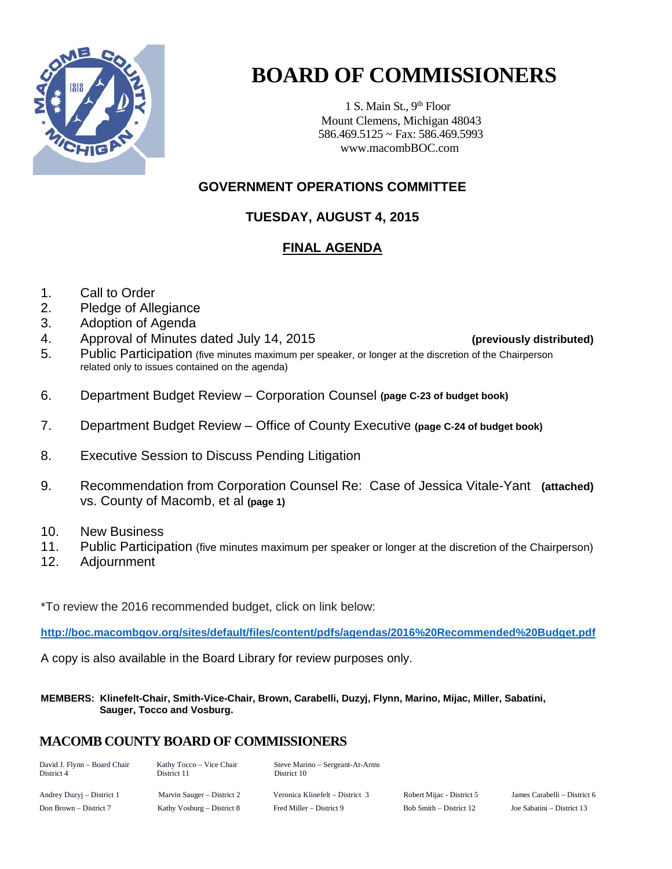

# **BOARD OF COMMISSIONERS**

1 S. Main St.,  $9<sup>th</sup>$  Floor Mount Clemens, Michigan 48043 586.469.5125 ~ Fax: 586.469.5993 www.macombBOC.com

# **GOVERNMENT OPERATIONS COMMITTEE**

# **TUESDAY, AUGUST 4, 2015**

# **FINAL AGENDA**

- 1. Call to Order
- 2. Pledge of Allegiance
- 3. Adoption of Agenda
- 4. Approval of Minutes dated July 14, 2015 **(previously distributed)**

- 5. Public Participation (five minutes maximum per speaker, or longer at the discretion of the Chairperson related only to issues contained on the agenda)
- 6. Department Budget Review Corporation Counsel **(page C-23 of budget book)**
- 7. Department Budget Review Office of County Executive **(page C-24 of budget book)**
- 8. Executive Session to Discuss Pending Litigation
- 9. Recommendation from Corporation Counsel Re: Case of Jessica Vitale-Yant **(attached)** vs. County of Macomb, et al **(page 1)**
- 10. New Business
- 11. Public Participation (five minutes maximum per speaker or longer at the discretion of the Chairperson)
- 12. Adjournment

\*To review the 2016 recommended budget, click on link below:

**<http://boc.macombgov.org/sites/default/files/content/pdfs/agendas/2016%20Recommended%20Budget.pdf>**

A copy is also available in the Board Library for review purposes only.

**MEMBERS: Klinefelt-Chair, Smith-Vice-Chair, Brown, Carabelli, Duzyj, Flynn, Marino, Mijac, Miller, Sabatini, Sauger, Tocco and Vosburg.**

# **MACOMB COUNTY BOARD OF COMMISSIONERS**

| David J. Flynn - Board Chair<br>District 4 | Kathy Tocco – Vice Chair<br>District 11 | Steve Marino – Sergeant-At-Arms<br>District 10 |                           |                            |
|--------------------------------------------|-----------------------------------------|------------------------------------------------|---------------------------|----------------------------|
| Andrey Duzyj – District 1                  | Marvin Sauger – District 2              | Veronica Klinefelt – District 3                | Robert Mijac - District 5 | James Carabelli – Distric  |
| Don Brown – District 7                     | Kathy Vosburg – District 8              | Fred Miller – District 9                       | Bob Smith – District 12   | Joe Sabatini – District 13 |

c - District 5 Marvin Sames Carabelli – District 6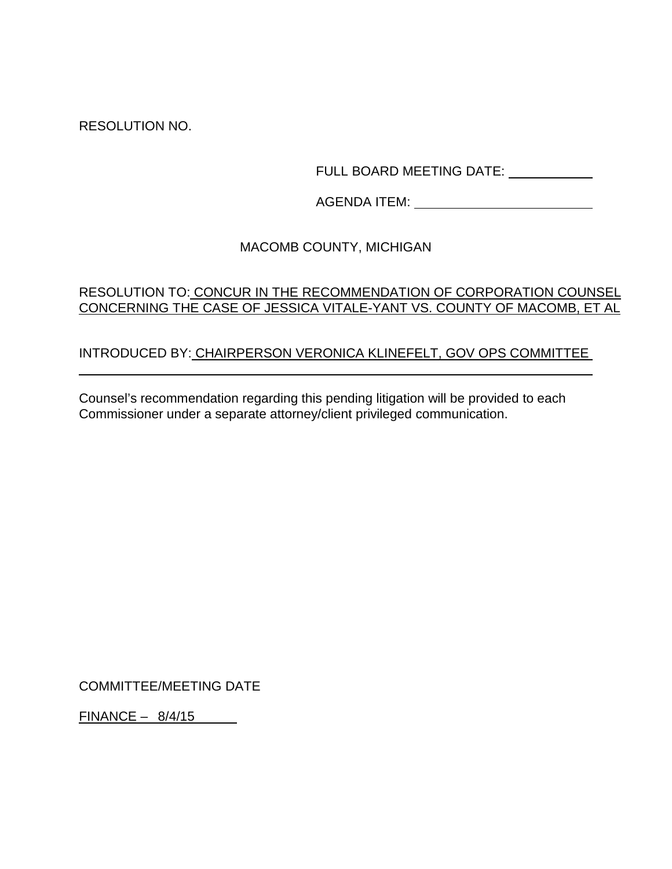RESOLUTION NO.

FULL BOARD MEETING DATE: \_\_\_\_\_\_\_\_\_\_\_\_

AGENDA ITEM:

# MACOMB COUNTY, MICHIGAN

# RESOLUTION TO: CONCUR IN THE RECOMMENDATION OF CORPORATION COUNSEL CONCERNING THE CASE OF JESSICA VITALE-YANT VS. COUNTY OF MACOMB, ET AL

# INTRODUCED BY: CHAIRPERSON VERONICA KLINEFELT, GOV OPS COMMITTEE

Counsel's recommendation regarding this pending litigation will be provided to each Commissioner under a separate attorney/client privileged communication.

COMMITTEE/MEETING DATE

FINANCE – 8/4/15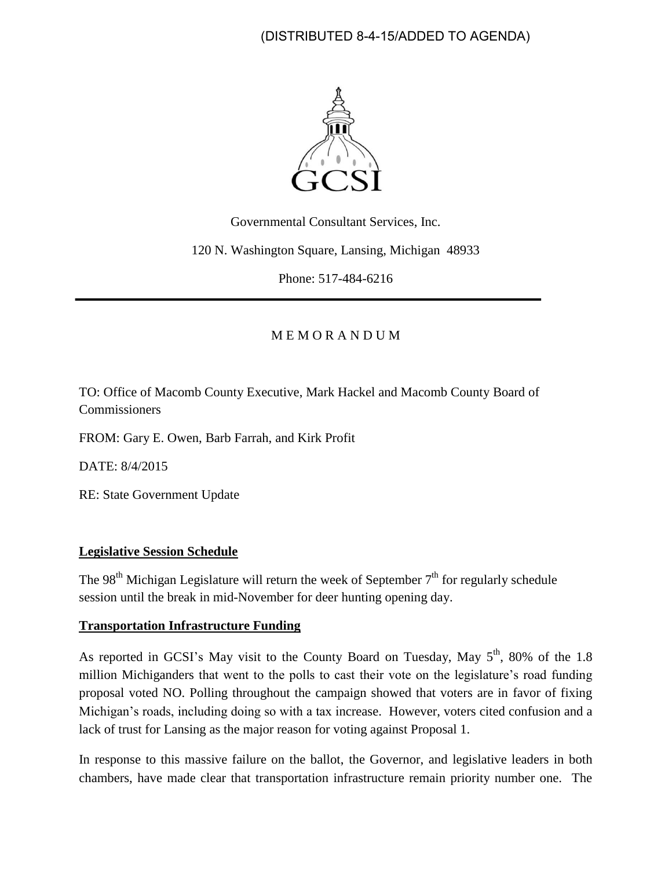(DISTRIBUTED 8-4-15/ADDED TO AGENDA)



Governmental Consultant Services, Inc.

120 N. Washington Square, Lansing, Michigan 48933

Phone: 517-484-6216

## M E M O R A N D U M

TO: Office of Macomb County Executive, Mark Hackel and Macomb County Board of **Commissioners** 

FROM: Gary E. Owen, Barb Farrah, and Kirk Profit

DATE: 8/4/2015

RE: State Government Update

#### **Legislative Session Schedule**

The 98<sup>th</sup> Michigan Legislature will return the week of September  $7<sup>th</sup>$  for regularly schedule session until the break in mid-November for deer hunting opening day.

#### **Transportation Infrastructure Funding**

As reported in GCSI's May visit to the County Board on Tuesday, May 5<sup>th</sup>, 80% of the 1.8 million Michiganders that went to the polls to cast their vote on the legislature's road funding proposal voted NO. Polling throughout the campaign showed that voters are in favor of fixing Michigan's roads, including doing so with a tax increase. However, voters cited confusion and a lack of trust for Lansing as the major reason for voting against Proposal 1.

In response to this massive failure on the ballot, the Governor, and legislative leaders in both chambers, have made clear that transportation infrastructure remain priority number one. The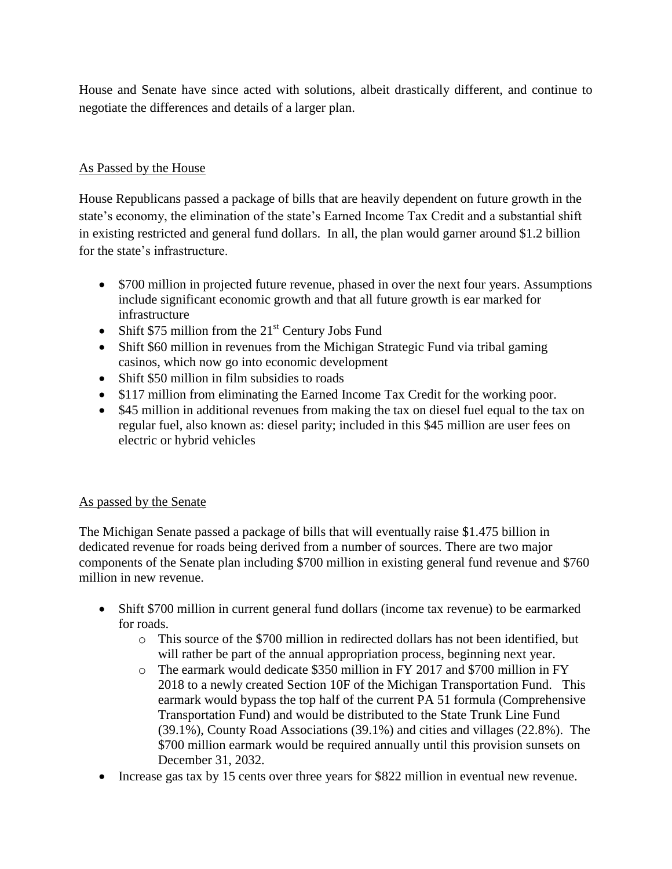House and Senate have since acted with solutions, albeit drastically different, and continue to negotiate the differences and details of a larger plan.

### As Passed by the House

House Republicans passed a package of bills that are heavily dependent on future growth in the state's economy, the elimination of the state's Earned Income Tax Credit and a substantial shift in existing restricted and general fund dollars. In all, the plan would garner around \$1.2 billion for the state's infrastructure.

- \$700 million in projected future revenue, phased in over the next four years. Assumptions include significant economic growth and that all future growth is ear marked for infrastructure
- Shift  $$75$  million from the  $21<sup>st</sup>$  Century Jobs Fund
- Shift \$60 million in revenues from the Michigan Strategic Fund via tribal gaming casinos, which now go into economic development
- Shift \$50 million in film subsidies to roads
- \$117 million from eliminating the Earned Income Tax Credit for the working poor.
- \$45 million in additional revenues from making the tax on diesel fuel equal to the tax on regular fuel, also known as: diesel parity; included in this \$45 million are user fees on electric or hybrid vehicles

## As passed by the Senate

The Michigan Senate passed a package of bills that will eventually raise \$1.475 billion in dedicated revenue for roads being derived from a number of sources. There are two major components of the Senate plan including \$700 million in existing general fund revenue and \$760 million in new revenue.

- Shift \$700 million in current general fund dollars (income tax revenue) to be earmarked for roads.
	- o This source of the \$700 million in redirected dollars has not been identified, but will rather be part of the annual appropriation process, beginning next year.
	- o The earmark would dedicate \$350 million in FY 2017 and \$700 million in FY 2018 to a newly created Section 10F of the Michigan Transportation Fund. This earmark would bypass the top half of the current PA 51 formula (Comprehensive Transportation Fund) and would be distributed to the State Trunk Line Fund (39.1%), County Road Associations (39.1%) and cities and villages (22.8%). The \$700 million earmark would be required annually until this provision sunsets on December 31, 2032.
- Increase gas tax by 15 cents over three years for \$822 million in eventual new revenue.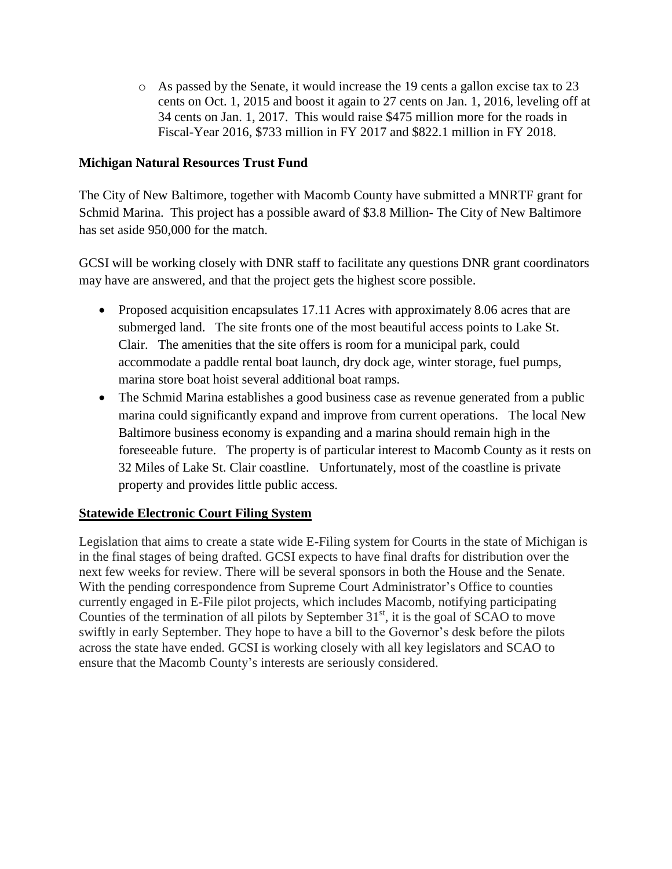o As passed by the Senate, it would increase the 19 cents a gallon excise tax to 23 cents on Oct. 1, 2015 and boost it again to 27 cents on Jan. 1, 2016, leveling off at 34 cents on Jan. 1, 2017. This would raise \$475 million more for the roads in Fiscal-Year 2016, \$733 million in FY 2017 and \$822.1 million in FY 2018.

## **Michigan Natural Resources Trust Fund**

The City of New Baltimore, together with Macomb County have submitted a MNRTF grant for Schmid Marina. This project has a possible award of \$3.8 Million- The City of New Baltimore has set aside 950,000 for the match.

GCSI will be working closely with DNR staff to facilitate any questions DNR grant coordinators may have are answered, and that the project gets the highest score possible.

- Proposed acquisition encapsulates 17.11 Acres with approximately 8.06 acres that are submerged land. The site fronts one of the most beautiful access points to Lake St. Clair. The amenities that the site offers is room for a municipal park, could accommodate a paddle rental boat launch, dry dock age, winter storage, fuel pumps, marina store boat hoist several additional boat ramps.
- The Schmid Marina establishes a good business case as revenue generated from a public marina could significantly expand and improve from current operations. The local New Baltimore business economy is expanding and a marina should remain high in the foreseeable future. The property is of particular interest to Macomb County as it rests on 32 Miles of Lake St. Clair coastline. Unfortunately, most of the coastline is private property and provides little public access.

## **Statewide Electronic Court Filing System**

Legislation that aims to create a state wide E-Filing system for Courts in the state of Michigan is in the final stages of being drafted. GCSI expects to have final drafts for distribution over the next few weeks for review. There will be several sponsors in both the House and the Senate. With the pending correspondence from Supreme Court Administrator's Office to counties currently engaged in E-File pilot projects, which includes Macomb, notifying participating Counties of the termination of all pilots by September  $31<sup>st</sup>$ , it is the goal of SCAO to move swiftly in early September. They hope to have a bill to the Governor's desk before the pilots across the state have ended. GCSI is working closely with all key legislators and SCAO to ensure that the Macomb County's interests are seriously considered.